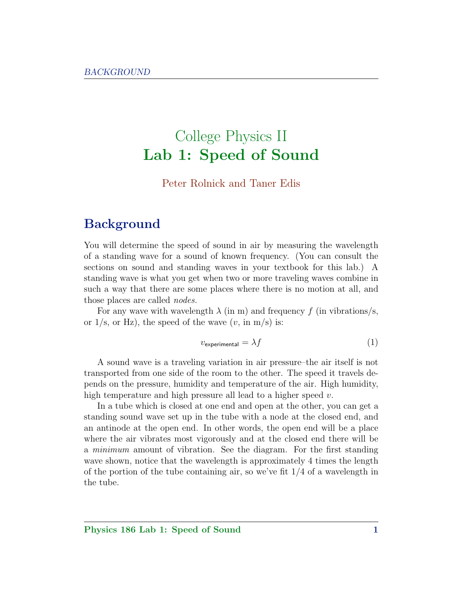# College Physics II Lab 1: Speed of Sound

#### Peter Rolnick and Taner Edis

## **Background**

You will determine the speed of sound in air by measuring the wavelength of a standing wave for a sound of known frequency. (You can consult the sections on sound and standing waves in your textbook for this lab.) A standing wave is what you get when two or more traveling waves combine in such a way that there are some places where there is no motion at all, and those places are called nodes.

For any wave with wavelength  $\lambda$  (in m) and frequency f (in vibrations/s, or  $1/s$ , or Hz), the speed of the wave  $(v, \text{ in } m/s)$  is:

$$
v_{\text{experimental}} = \lambda f \tag{1}
$$

A sound wave is a traveling variation in air pressure–the air itself is not transported from one side of the room to the other. The speed it travels depends on the pressure, humidity and temperature of the air. High humidity, high temperature and high pressure all lead to a higher speed  $v$ .

In a tube which is closed at one end and open at the other, you can get a standing sound wave set up in the tube with a node at the closed end, and an antinode at the open end. In other words, the open end will be a place where the air vibrates most vigorously and at the closed end there will be a minimum amount of vibration. See the diagram. For the first standing wave shown, notice that the wavelength is approximately 4 times the length of the portion of the tube containing air, so we've fit 1/4 of a wavelength in the tube.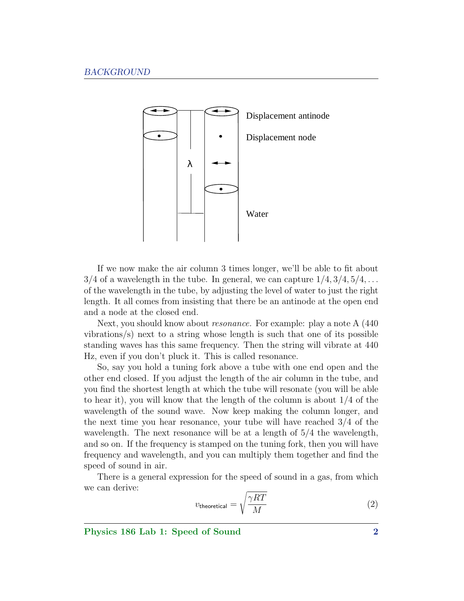

If we now make the air column 3 times longer, we'll be able to fit about  $3/4$  of a wavelength in the tube. In general, we can capture  $1/4$ ,  $3/4$ ,  $5/4$ , ... of the wavelength in the tube, by adjusting the level of water to just the right length. It all comes from insisting that there be an antinode at the open end and a node at the closed end.

Next, you should know about resonance. For example: play a note A (440 vibrations/s) next to a string whose length is such that one of its possible standing waves has this same frequency. Then the string will vibrate at 440 Hz, even if you don't pluck it. This is called resonance.

So, say you hold a tuning fork above a tube with one end open and the other end closed. If you adjust the length of the air column in the tube, and you find the shortest length at which the tube will resonate (you will be able to hear it), you will know that the length of the column is about 1/4 of the wavelength of the sound wave. Now keep making the column longer, and the next time you hear resonance, your tube will have reached 3/4 of the wavelength. The next resonance will be at a length of 5/4 the wavelength, and so on. If the frequency is stamped on the tuning fork, then you will have frequency and wavelength, and you can multiply them together and find the speed of sound in air.

There is a general expression for the speed of sound in a gas, from which we can derive:

<span id="page-1-0"></span>
$$
v_{\text{theoretical}} = \sqrt{\frac{\gamma RT}{M}}
$$
 (2)

Physics 186 Lab 1: Speed of Sound 2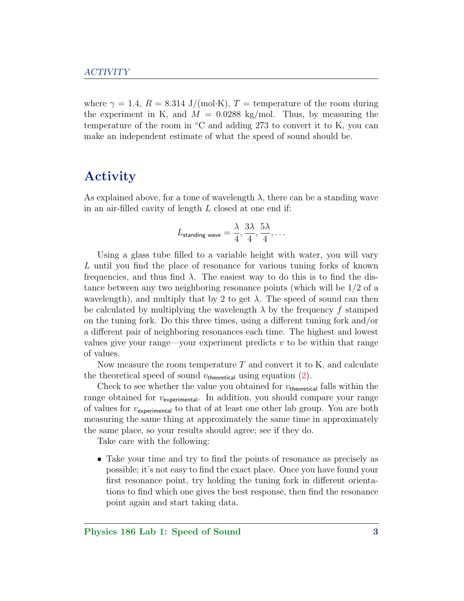where  $\gamma = 1.4$ ,  $R = 8.314$  J/(mol·K),  $T =$  temperature of the room during the experiment in K, and  $M = 0.0288$  kg/mol. Thus, by measuring the temperature of the room in  $°C$  and adding 273 to convert it to K, you can make an independent estimate of what the speed of sound should be.

### Activity

As explained above, for a tone of wavelength  $\lambda$ , there can be a standing wave in an air-filled cavity of length L closed at one end if:

$$
L_{\text{standing wave}} = \frac{\lambda}{4}, \frac{3\lambda}{4}, \frac{5\lambda}{4}, \ldots
$$

Using a glass tube filled to a variable height with water, you will vary L until you find the place of resonance for various tuning forks of known frequencies, and thus find  $\lambda$ . The easiest way to do this is to find the distance between any two neighboring resonance points (which will be 1/2 of a wavelength), and multiply that by 2 to get  $\lambda$ . The speed of sound can then be calculated by multiplying the wavelength  $\lambda$  by the frequency f stamped on the tuning fork. Do this three times, using a different tuning fork and/or a different pair of neighboring resonances each time. The highest and lowest values give your range—your experiment predicts  $v$  to be within that range of values.

Now measure the room temperature  $T$  and convert it to K, and calculate the theoretical speed of sound  $v_{\text{theoretical}}$  using equation [\(2\)](#page-1-0).

Check to see whether the value you obtained for  $v_{\text{theoretical}}$  falls within the range obtained for  $v_{\text{experimental}}$ . In addition, you should compare your range of values for  $v_{\text{experimental}}$  to that of at least one other lab group. You are both measuring the same thing at approximately the same time in approximately the same place, so your results should agree; see if they do.

Take care with the following:

• Take your time and try to find the points of resonance as precisely as possible; it's not easy to find the exact place. Once you have found your first resonance point, try holding the tuning fork in different orientations to find which one gives the best response, then find the resonance point again and start taking data.